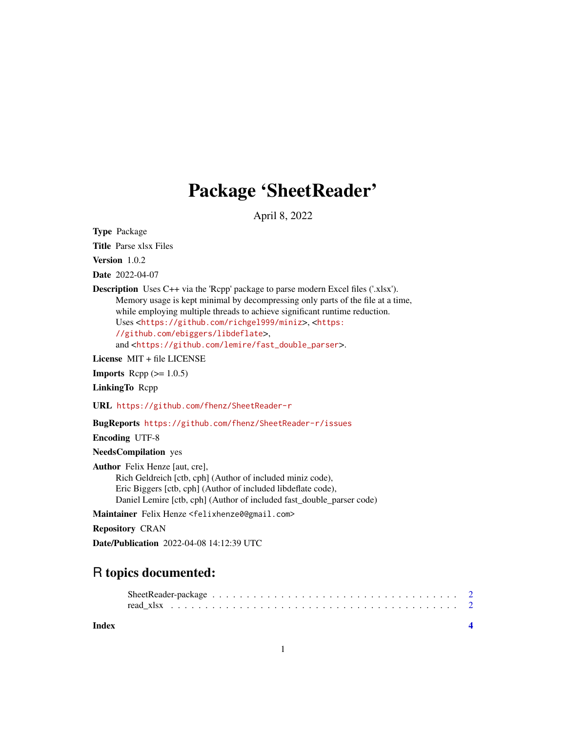## Package 'SheetReader'

April 8, 2022

Type Package

Title Parse xlsx Files

Version 1.0.2

Date 2022-04-07

Description Uses C++ via the 'Rcpp' package to parse modern Excel files ('.xlsx'). Memory usage is kept minimal by decompressing only parts of the file at a time, while employing multiple threads to achieve significant runtime reduction. Uses <<https://github.com/richgel999/miniz>>, <[https:](https://github.com/ebiggers/libdeflate) [//github.com/ebiggers/libdeflate](https://github.com/ebiggers/libdeflate)>, and <[https://github.com/lemire/fast\\_double\\_parser](https://github.com/lemire/fast_double_parser)>.

License MIT + file LICENSE

**Imports** Rcpp  $(>= 1.0.5)$ 

LinkingTo Rcpp

URL <https://github.com/fhenz/SheetReader-r>

BugReports <https://github.com/fhenz/SheetReader-r/issues>

Encoding UTF-8

NeedsCompilation yes

Author Felix Henze [aut, cre], Rich Geldreich [ctb, cph] (Author of included miniz code), Eric Biggers [ctb, cph] (Author of included libdeflate code), Daniel Lemire [ctb, cph] (Author of included fast\_double\_parser code)

Maintainer Felix Henze <felixhenze0@gmail.com>

Repository CRAN

Date/Publication 2022-04-08 14:12:39 UTC

### R topics documented:

#### **Index** [4](#page-3-0)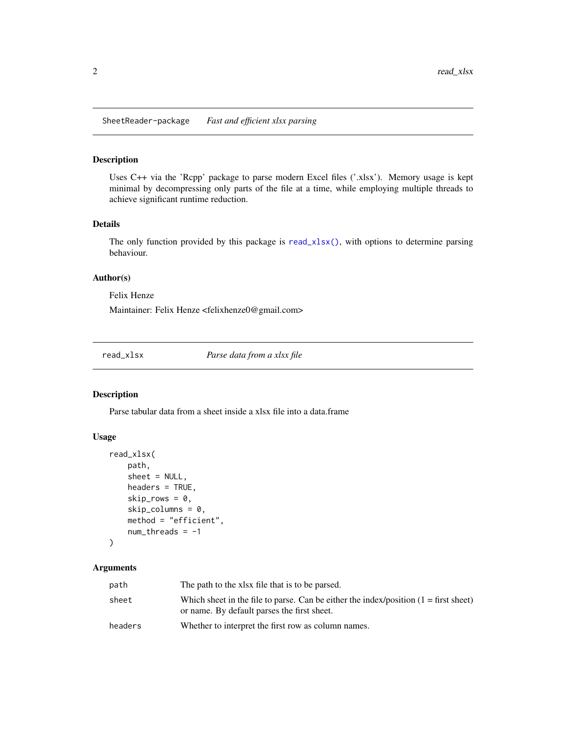<span id="page-1-0"></span>SheetReader-package *Fast and efficient xlsx parsing*

#### Description

Uses C++ via the 'Rcpp' package to parse modern Excel files ('.xlsx'). Memory usage is kept minimal by decompressing only parts of the file at a time, while employing multiple threads to achieve significant runtime reduction.

#### Details

The only function provided by this package is [read\\_xlsx\(\)](#page-1-1), with options to determine parsing behaviour.

#### Author(s)

Felix Henze

Maintainer: Felix Henze <felixhenze0@gmail.com>

<span id="page-1-1"></span>read\_xlsx *Parse data from a xlsx file*

#### Description

Parse tabular data from a sheet inside a xlsx file into a data.frame

#### Usage

```
read_xlsx(
    path,
    sheet = NULL,
    headers = TRUE,
    skip\_rows = 0,
    skip_columns = 0,
    method = "efficient",
    num_\text{threads} = -1)
```
#### Arguments

| path    | The path to the xlsx file that is to be parsed.                                                                                       |
|---------|---------------------------------------------------------------------------------------------------------------------------------------|
| sheet   | Which sheet in the file to parse. Can be either the index/position $(1 = first sheet)$<br>or name. By default parses the first sheet. |
| headers | Whether to interpret the first row as column names.                                                                                   |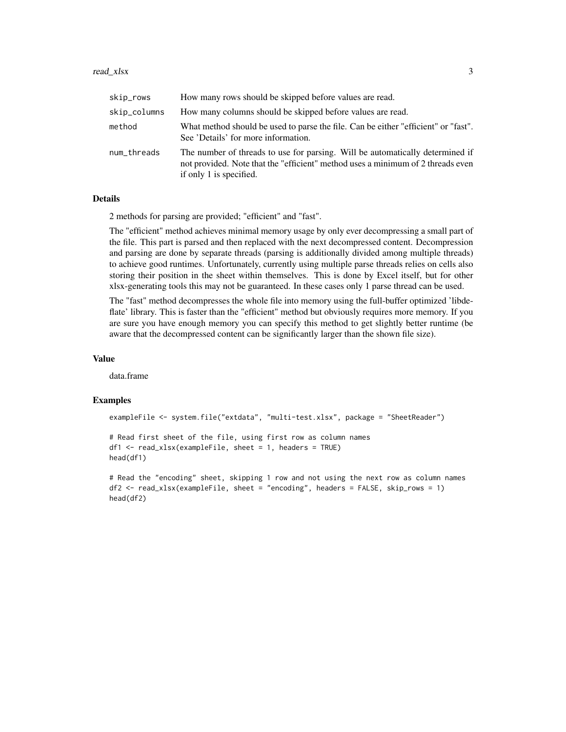#### read\_xlsx 3

| skip_rows    | How many rows should be skipped before values are read.                                                                                                                                     |
|--------------|---------------------------------------------------------------------------------------------------------------------------------------------------------------------------------------------|
| skip_columns | How many columns should be skipped before values are read.                                                                                                                                  |
| method       | What method should be used to parse the file. Can be either "efficient" or "fast".<br>See 'Details' for more information.                                                                   |
| num threads  | The number of threads to use for parsing. Will be automatically determined if<br>not provided. Note that the "efficient" method uses a minimum of 2 threads even<br>if only 1 is specified. |

#### Details

2 methods for parsing are provided; "efficient" and "fast".

The "efficient" method achieves minimal memory usage by only ever decompressing a small part of the file. This part is parsed and then replaced with the next decompressed content. Decompression and parsing are done by separate threads (parsing is additionally divided among multiple threads) to achieve good runtimes. Unfortunately, currently using multiple parse threads relies on cells also storing their position in the sheet within themselves. This is done by Excel itself, but for other xlsx-generating tools this may not be guaranteed. In these cases only 1 parse thread can be used.

The "fast" method decompresses the whole file into memory using the full-buffer optimized 'libdeflate' library. This is faster than the "efficient" method but obviously requires more memory. If you are sure you have enough memory you can specify this method to get slightly better runtime (be aware that the decompressed content can be significantly larger than the shown file size).

#### Value

data.frame

#### Examples

```
exampleFile <- system.file("extdata", "multi-test.xlsx", package = "SheetReader")
```

```
# Read first sheet of the file, using first row as column names
df1 <- read_xlsx(exampleFile, sheet = 1, headers = TRUE)
head(df1)
```

```
# Read the "encoding" sheet, skipping 1 row and not using the next row as column names
df2 <- read_xlsx(exampleFile, sheet = "encoding", headers = FALSE, skip_rows = 1)
head(df2)
```